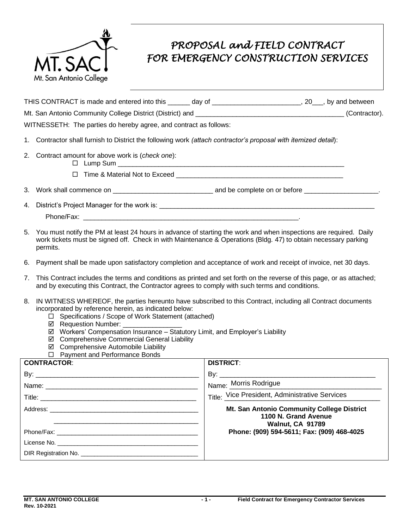

## *PROPOSAL and FIELD CONTRACT FOR EMERGENCY CONSTRUCTION SERVICES*

| THIS CONTRACT is made and entered into this               | day of | , by and between |
|-----------------------------------------------------------|--------|------------------|
| Mt. San Antonio Community College District (District) and |        | (Contractor).    |

WITNESSETH: The parties do hereby agree, and contract as follows:

- 1. Contractor shall furnish to District the following work *(attach contractor's proposal with itemized detail*):
- 2. Contract amount for above work is (*check one*):
	- Lump Sum \_\_\_\_\_\_\_\_\_\_\_\_\_\_\_\_\_\_\_\_\_\_\_\_\_\_\_\_\_\_\_\_\_\_\_\_\_\_\_\_\_\_\_\_\_\_\_\_\_\_\_\_\_\_\_\_\_\_\_\_\_
	- Time & Material Not to Exceed \_\_\_\_\_\_\_\_\_\_\_\_\_\_\_\_\_\_\_\_\_\_\_\_\_\_\_\_\_\_\_\_\_\_\_\_\_\_\_\_\_\_\_\_\_
- 3. Work shall commence on \_\_\_\_\_\_\_\_\_\_\_\_\_\_\_\_\_\_\_\_\_\_\_\_\_\_\_ and be complete on or before \_\_\_\_\_\_\_\_\_\_\_\_\_\_\_\_\_\_\_\_.
- 4. District's Project Manager for the work is: \_\_\_\_\_\_\_\_\_\_\_\_\_\_\_\_\_\_\_\_\_\_\_\_\_\_\_\_\_\_\_\_\_\_\_\_\_\_\_\_\_\_\_\_\_\_\_\_\_\_\_\_\_\_\_\_\_\_
	- Phone/Fax:
- 5. You must notify the PM at least 24 hours in advance of starting the work and when inspections are required. Daily work tickets must be signed off. Check in with Maintenance & Operations (Bldg. 47) to obtain necessary parking permits.
- 6. Payment shall be made upon satisfactory completion and acceptance of work and receipt of invoice, net 30 days.
- 7. This Contract includes the terms and conditions as printed and set forth on the reverse of this page, or as attached; and by executing this Contract, the Contractor agrees to comply with such terms and conditions.
- 8. IN WITNESS WHEREOF, the parties hereunto have subscribed to this Contract, including all Contract documents incorporated by reference herein, as indicated below:
	- □ Specifications / Scope of Work Statement (attached)
	- $\boxtimes$  Requestion Number: \_\_\_\_\_\_\_\_\_\_\_\_\_\_\_\_\_\_\_
	- ⊠ Workers' Compensation Insurance Statutory Limit, and Employer's Liability
	- $\boxtimes$  Comprehensive Commercial General Liability
	- $\boxtimes$  Comprehensive Automobile Liability
	- □ Payment and Performance Bonds

| <b>CONTRACTOR:</b> | <b>DISTRICT:</b>                                                                              |
|--------------------|-----------------------------------------------------------------------------------------------|
|                    |                                                                                               |
|                    | Name: Morris Rodrigue                                                                         |
|                    | Title: Vice President, Administrative Services                                                |
|                    | Mt. San Antonio Community College District<br>1100 N. Grand Avenue<br><b>Walnut, CA 91789</b> |
|                    | Phone: (909) 594-5611; Fax: (909) 468-4025                                                    |
|                    |                                                                                               |
|                    |                                                                                               |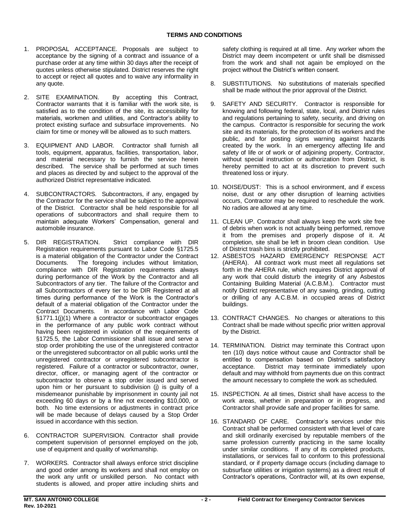- 1. PROPOSAL ACCEPTANCE. Proposals are subject to acceptance by the signing of a contract and issuance of a purchase order at any time within 30 days after the receipt of quotes unless otherwise stipulated. District reserves the right to accept or reject all quotes and to waive any informality in any quote.
- 2. SITE EXAMINATION. By accepting this Contract, Contractor warrants that it is familiar with the work site, is satisfied as to the condition of the site, its accessibility for materials, workmen and utilities, and Contractor's ability to protect existing surface and subsurface improvements. No claim for time or money will be allowed as to such matters.
- 3. EQUIPMENT AND LABOR. Contractor shall furnish all tools, equipment, apparatus, facilities, transportation, labor, and material necessary to furnish the service herein described. The service shall be performed at such times and places as directed by and subject to the approval of the authorized District representative indicated.
- 4. SUBCONTRACTORS. Subcontractors, if any, engaged by the Contractor for the service shall be subject to the approval of the District. Contractor shall be held responsible for all operations of subcontractors and shall require them to maintain adequate Workers' Compensation, general and automobile insurance.
- 5. DIR REGISTRATION. Registration requirements pursuant to Labor Code §1725.5 is a material obligation of the Contractor under the Contract Documents. compliance with DIR Registration requirements always during performance of the Work by the Contractor and all Subcontractors of any tier. The failure of the Contractor and all Subcontractors of every tier to be DIR Registered at all times during performance of the Work is the Contractor's default of a material obligation of the Contractor under the Contract Documents. §1771.1(j)(1) Where a contractor or subcontractor engages in the performance of any public work contract without having been registered in violation of the requirements of §1725.5, the Labor Commissioner shall issue and serve a stop order prohibiting the use of the unregistered contractor or the unregistered subcontractor on all public works until the unregistered contractor or unregistered subcontractor is registered. Failure of a contractor or subcontractor, owner, director, officer, or managing agent of the contractor or subcontractor to observe a stop order issued and served upon him or her pursuant to subdivision (j) is guilty of a misdemeanor punishable by imprisonment in county jail not exceeding 60 days or by a fine not exceeding \$10,000, or both. No time extensions or adjustments in contract price will be made because of delays caused by a Stop Order issued in accordance with this section. Strict compliance with DIR The foregoing includes without limitation, In accordance with Labor Code
- 6. CONTRACTOR SUPERVISION. Contractor shall provide competent supervision of personnel employed on the job, use of equipment and quality of workmanship.
- 7. WORKERS. Contractor shall always enforce strict discipline and good order among its workers and shall not employ on the work any unfit or unskilled person. No contact with students is allowed, and proper attire including shirts and

 safety clothing is required at all time. Any worker whom the District may deem incompetent or unfit shall be dismissed from the work and shall not again be employed on the project without the District's written consent.

- 8. SUBSTITUTIONS. No substitutions of materials specified shall be made without the prior approval of the District.
- 9. SAFETY AND SECURITY. Contractor is responsible for knowing and following federal, state, local, and District rules and regulations pertaining to safety, security, and driving on the campus. Contractor is responsible for securing the work site and its materials, for the protection of its workers and the public, and for posting signs warning against hazards created by the work. In an emergency affecting life and safety of life or of work or of adjoining property, Contractor, without special instruction or authorization from District, is hereby permitted to act at its discretion to prevent such threatened loss or injury.
- 10. NOISE/DUST: This is a school environment, and if excess noise, dust or any other disruption of learning activities occurs, Contractor may be required to reschedule the work. No radios are allowed at any time.
- 11. CLEAN UP. Contractor shall always keep the work site free of debris when work is not actually being performed, remove it from the premises and properly dispose of it. At completion, site shall be left in broom clean condition. Use of District trash bins is strictly prohibited.
- 12. ASBESTOS HAZARD EMERGENCY RESPONSE ACT (AHERA). All contract work must meet all regulations set forth in the AHERA rule, which requires District approval of any work that could disturb the integrity of any Asbestos Containing Building Material (A.C.B.M.). Contractor must notify District representative of any sawing, grinding, cutting or drilling of any A.C.B.M. in occupied areas of District buildings.
- 13. CONTRACT CHANGES. No changes or alterations to this Contract shall be made without specific prior written approval by the District.
- 14. TERMINATION. District may terminate this Contract upon ten (10) days notice without cause and Contractor shall be entitled to compensation based on District's satisfactory acceptance. default and may withhold from payments due on this contract the amount necessary to complete the work as scheduled. District may terminate immediately upon
- 15. INSPECTION. At all times, District shall have access to the work areas, whether in preparation or in progress, and Contractor shall provide safe and proper facilities for same.
- 16. STANDARD OF CARE. Contractor's services under this Contract shall be performed consistent with that level of care and skill ordinarily exercised by reputable members of the same profession currently practicing in the same locality under similar conditions. If any of its completed products, installations, or services fail to conform to this professional standard, or if property damage occurs (including damage to subsurface utilities or irrigation systems) as a direct result of Contractor's operations, Contractor will, at its own expense,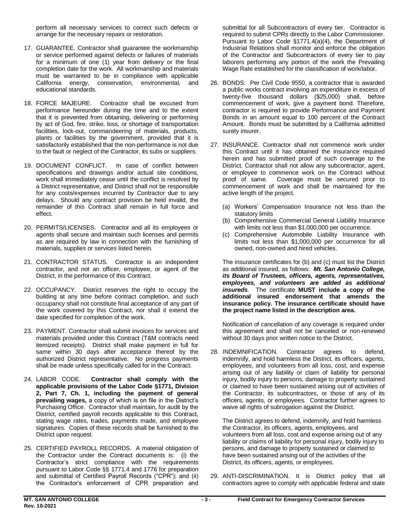perform all necessary services to correct such defects or arrange for the necessary repairs or restoration.

- 17. GUARANTEE. Contractor shall guarantee the workmanship or service performed against defects or failures of materials for a minimum of one (1) year from delivery or the final completion date for the work. All workmanship and materials must be warranted to be in compliance with applicable California energy, conservation, environmental, and educational standards.
- 18. FORCE MAJEURE. Contractor shall be excused from performance hereunder during the time and to the extent that it is prevented from obtaining, delivering or performing by act of God, fire, strike, loss, or shortage of transportation facilities, lock-out, commandeering of materials, products, plants or facilities by the government, provided that it is satisfactorily established that the non-performance is not due to the fault or neglect of the Contractor, its subs or suppliers.
- 19. DOCUMENT CONFLICT. In case of conflict between specifications and drawings and/or actual site conditions, work shall immediately cease until the conflict is resolved by a District representative, and District shall not be responsible for any costs/expenses incurred by Contractor due to any delays. Should any contract provision be held invalid, the remainder of this Contract shall remain in full force and effect.
- 20. PERMITS/LICENSES. Contractor and all its employees or agents shall secure and maintain such licenses and permits as are required by law in connection with the furnishing of materials, supplies or services listed herein.
- 21. CONTRACTOR STATUS. Contractor is an independent contractor, and not an officer, employee, or agent of the District, in the performance of this Contract.
- 22. OCCUPANCY. District reserves the right to occupy the building at any time before contract completion, and such occupancy shall not constitute final acceptance of any part of the work covered by this Contract, nor shall it extend the date specified for completion of the work.
- 23. PAYMENT. Contractor shall submit invoices for services and materials provided under this Contract (T&M contracts need itemized receipts). District shall make payment in full for same within 30 days after acceptance thereof by the authorized District representative. No progress payments shall be made unless specifically called for in the Contract.
- 24. LABOR CODE.  **applicable provisions of the Labor Code §1771, Division 2, Part 7, Ch. 1, including the payment of general prevailing wages,** a copy of which is on file in the District's Purchasing Office. Contractor shall maintain, for audit by the District, certified payroll records applicable to this Contract, stating wage rates, trades, payments made, and employee signatures. Copies of these records shall be furnished to the District upon request. Contractor shall comply with the
- 25. CERTIFIED PAYROLL RECORDS. A material obligation of the Contractor under the Contract documents is: (i) the Contractor's strict compliance with the requirements pursuant to Labor Code §§ 1771.4 and 1776 for preparation and submittal of Certified Payroll Records ("CPR"); and (ii) the Contractor's enforcement of CPR preparation and

 submittal for all Subcontractors of every tier. Contractor is required to submit CPRs directly to the Labor Commissioner. Pursuant to Labor Code §1771.4(a)(4), the Department of Industrial Relations shall monitor and enforce the obligation of the Contractor and Subcontractors of every tier to pay laborers performing any portion of the work the Prevailing Wage Rate established for the classification of work/labor.

- 26. BONDS: Per Civil Code 9550, a contractor that is awarded a public works contract involving an expenditure in excess of twenty-five thousand dollars (\$25,000) shall, before commencement of work, give a payment bond. Therefore, contractor is required to provide Performance and Payment Bonds in an amount equal to 100 percent of the Contract Amount. Bonds must be submitted by a California admitted surety insurer.
- 27. INSURANCE. Contractor shall not commence work under this Contract until it has obtained the insurance required herein and has submitted proof of such coverage to the District. Contractor shall not allow any subcontractor, agent, or employee to commence work on the Contract without proof of same. commencement of work and shall be maintained for the active length of the project. Coverage must be secured prior to
	- (a) Workers' Compensation Insurance not less than the statutory limits
	- (b) Comprehensive Commercial General Liability Insurance with limits not less than \$1,000,000 per occurrence.
	- limits not less than \$1,000,000 per occurrence for all owned, non-owned and hired vehicles. (c) Comprehensive Automobile Liability Insurance with

 The insurance certificates for (b) and (c) must list the District as additional insured, as follows: *Mt. San Antonio College, its Board of Trustees, officers, agents, representatives,*  employees, and volunteers are added as additional *insureds.* The certificate **MUST include a copy of the additional insured endorsement that amends the insurance policy. The insurance certificate should have the project name listed in the description area.** 

 Notification of cancellation of any coverage is required under this agreement and shall not be canceled or non-renewed without 30 days prior written notice to the District.

 28. INDEMNIFICATION. Contractor agrees to defend, indemnify, and hold harmless the District, its officers, agents, employees, and volunteers from all loss, cost, and expense arising out of any liability or claim of liability for personal injury, bodily injury to persons, damage to property sustained or claimed to have been sustained arising out of activities of the Contractor, its subcontractors, or those of any of its officers, agents, or employees. Contractor further agrees to waive all rights of subrogation against the District.

 The District agrees to defend, indemnify, and hold harmless the Contractor, its officers, agents, employees, and volunteers from all loss, cost and expense arising out of any liability or claims of liability for personal injury, bodily injury to persons, and damage to property sustained or claimed to have been sustained arising out of the activities of the District, its officers, agents, or employees.

 29. ANTI-DISCRIMINATION. It is District policy that all contractors agree to comply with applicable federal and state